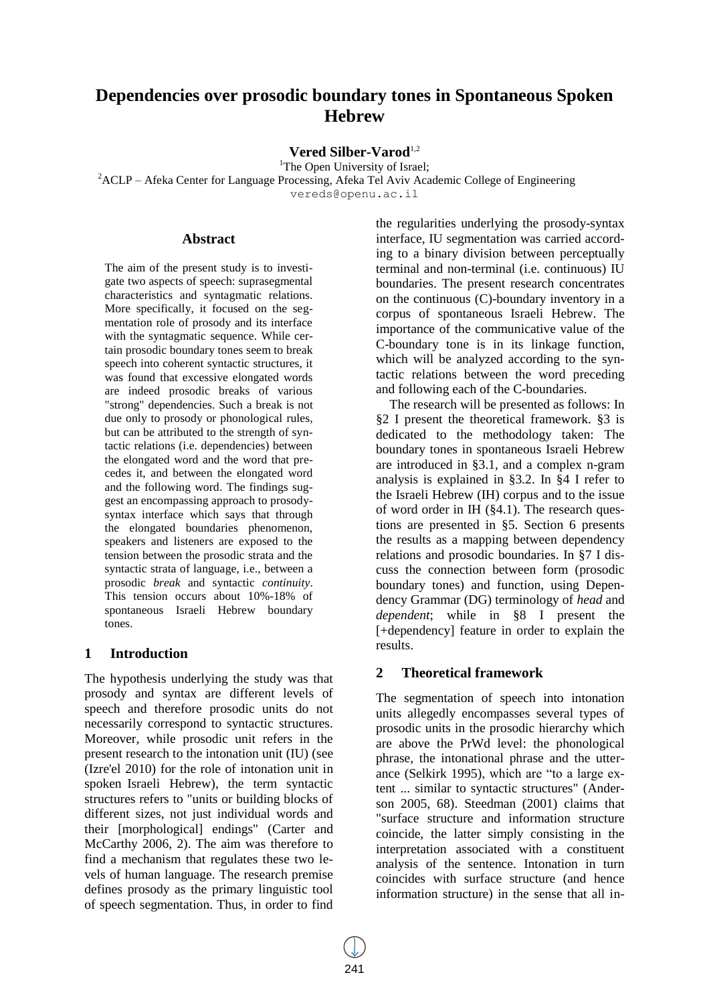# **Dependencies over prosodic boundary tones in Spontaneous Spoken Hebrew**

Vered Silber-Varod<sup>1,2</sup>

<sup>1</sup>The Open University of Israel;  ${}^{2}$ ACLP – Afeka Center for Language Processing, Afeka Tel Aviv Academic College of Engineering vereds@openu.ac.il

#### **Abstract**

The aim of the present study is to investigate two aspects of speech: suprasegmental characteristics and syntagmatic relations. More specifically, it focused on the segmentation role of prosody and its interface with the syntagmatic sequence. While certain prosodic boundary tones seem to break speech into coherent syntactic structures, it was found that excessive elongated words are indeed prosodic breaks of various "strong" dependencies. Such a break is not due only to prosody or phonological rules, but can be attributed to the strength of syntactic relations (i.e. dependencies) between the elongated word and the word that precedes it, and between the elongated word and the following word. The findings suggest an encompassing approach to prosodysyntax interface which says that through the elongated boundaries phenomenon, speakers and listeners are exposed to the tension between the prosodic strata and the syntactic strata of language, i.e., between a prosodic *break* and syntactic *continuity*. This tension occurs about 10%-18% of spontaneous Israeli Hebrew boundary tones.

### **1 Introduction**

The hypothesis underlying the study was that prosody and syntax are different levels of speech and therefore prosodic units do not necessarily correspond to syntactic structures. Moreover, while prosodic unit refers in the present research to the intonation unit (IU) (see (Izre'el 2010) for the role of intonation unit in spoken Israeli Hebrew), the term syntactic structures refers to "units or building blocks of different sizes, not just individual words and their [morphological] endings" (Carter and McCarthy 2006, 2). The aim was therefore to find a mechanism that regulates these two levels of human language. The research premise defines prosody as the primary linguistic tool of speech segmentation. Thus, in order to find the regularities underlying the prosody-syntax interface, IU segmentation was carried according to a binary division between perceptually terminal and non-terminal (i.e. continuous) IU boundaries. The present research concentrates on the continuous (C)-boundary inventory in a corpus of spontaneous Israeli Hebrew. The importance of the communicative value of the C-boundary tone is in its linkage function, which will be analyzed according to the syntactic relations between the word preceding and following each of the C-boundaries.

The research will be presented as follows: In §2 I present the theoretical framework. §3 is dedicated to the methodology taken: The boundary tones in spontaneous Israeli Hebrew are introduced in §3.1, and a complex n-gram analysis is explained in §3.2. In §4 I refer to the Israeli Hebrew (IH) corpus and to the issue of word order in IH (§4.1). The research questions are presented in §5. Section 6 presents the results as a mapping between dependency relations and prosodic boundaries. In §7 I discuss the connection between form (prosodic boundary tones) and function, using Dependency Grammar (DG) terminology of *head* and *dependent*; while in §8 I present the [+dependency] feature in order to explain the results.

### **2 Theoretical framework**

The segmentation of speech into intonation units allegedly encompasses several types of prosodic units in the prosodic hierarchy which are above the PrWd level: the phonological phrase, the intonational phrase and the utterance (Selkirk 1995), which are "to a large extent ... similar to syntactic structures" (Anderson 2005, 68). Steedman (2001) claims that "surface structure and information structure coincide, the latter simply consisting in the interpretation associated with a constituent analysis of the sentence. Intonation in turn coincides with surface structure (and hence information structure) in the sense that all in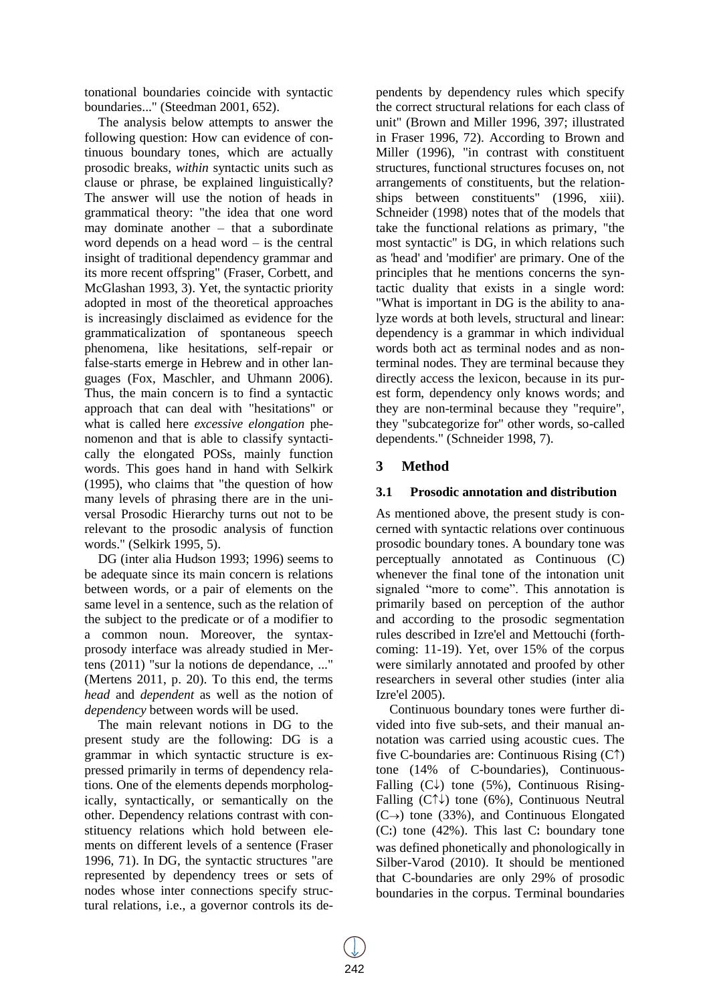tonational boundaries coincide with syntactic boundaries..." (Steedman 2001, 652).

The analysis below attempts to answer the following question: How can evidence of continuous boundary tones, which are actually prosodic breaks, *within* syntactic units such as clause or phrase, be explained linguistically? The answer will use the notion of heads in grammatical theory: "the idea that one word may dominate another – that a subordinate word depends on a head word – is the central insight of traditional dependency grammar and its more recent offspring" (Fraser, Corbett, and McGlashan 1993, 3). Yet, the syntactic priority adopted in most of the theoretical approaches is increasingly disclaimed as evidence for the grammaticalization of spontaneous speech phenomena, like hesitations, self-repair or false-starts emerge in Hebrew and in other languages (Fox, Maschler, and Uhmann 2006). Thus, the main concern is to find a syntactic approach that can deal with "hesitations" or what is called here *excessive elongation* phenomenon and that is able to classify syntactically the elongated POSs, mainly function words. This goes hand in hand with Selkirk (1995), who claims that "the question of how many levels of phrasing there are in the universal Prosodic Hierarchy turns out not to be relevant to the prosodic analysis of function words." (Selkirk 1995, 5).

DG (inter alia Hudson 1993; 1996) seems to be adequate since its main concern is relations between words, or a pair of elements on the same level in a sentence, such as the relation of the subject to the predicate or of a modifier to a common noun. Moreover, the syntaxprosody interface was already studied in Mertens (2011) "sur la notions de dependance, ..." (Mertens 2011, p. 20). To this end, the terms *head* and *dependent* as well as the notion of *dependency* between words will be used.

The main relevant notions in DG to the present study are the following: DG is a grammar in which syntactic structure is expressed primarily in terms of dependency relations. One of the elements depends morphologically, syntactically, or semantically on the other. Dependency relations contrast with constituency relations which hold between elements on different levels of a sentence (Fraser 1996, 71). In DG, the syntactic structures "are represented by dependency trees or sets of nodes whose inter connections specify structural relations, i.e., a governor controls its dependents by dependency rules which specify the correct structural relations for each class of unit" (Brown and Miller 1996, 397; illustrated in Fraser 1996, 72). According to Brown and Miller (1996), "in contrast with constituent structures, functional structures focuses on, not arrangements of constituents, but the relationships between constituents" (1996, xiii). Schneider (1998) notes that of the models that take the functional relations as primary, "the most syntactic" is DG, in which relations such as 'head' and 'modifier' are primary. One of the principles that he mentions concerns the syntactic duality that exists in a single word: "What is important in DG is the ability to analyze words at both levels, structural and linear: dependency is a grammar in which individual words both act as terminal nodes and as nonterminal nodes. They are terminal because they directly access the lexicon, because in its purest form, dependency only knows words; and they are non-terminal because they "require", they "subcategorize for" other words, so-called dependents." (Schneider 1998, 7).

## **3 Method**

### **3.1 Prosodic annotation and distribution**

As mentioned above, the present study is concerned with syntactic relations over continuous prosodic boundary tones. A boundary tone was perceptually annotated as Continuous (C) whenever the final tone of the intonation unit signaled "more to come". This annotation is primarily based on perception of the author and according to the prosodic segmentation rules described in Izre'el and Mettouchi (forthcoming: 11-19). Yet, over 15% of the corpus were similarly annotated and proofed by other researchers in several other studies (inter alia Izre'el 2005).

Continuous boundary tones were further divided into five sub-sets, and their manual annotation was carried using acoustic cues. The five C-boundaries are: Continuous Rising  $(C<sup>\uparrow</sup>)$ tone (14% of C-boundaries), Continuous-Falling  $(C\downarrow)$  tone (5%), Continuous Rising-Falling  $(C \uparrow \downarrow)$  tone (6%), Continuous Neutral  $(C_{\rightarrow})$  tone (33%), and Continuous Elongated  $(C<sub>i</sub>)$  tone  $(42%)$ . This last  $C<sub>i</sub>$  boundary tone was defined phonetically and phonologically in Silber-Varod (2010). It should be mentioned that C-boundaries are only 29% of prosodic boundaries in the corpus. Terminal boundaries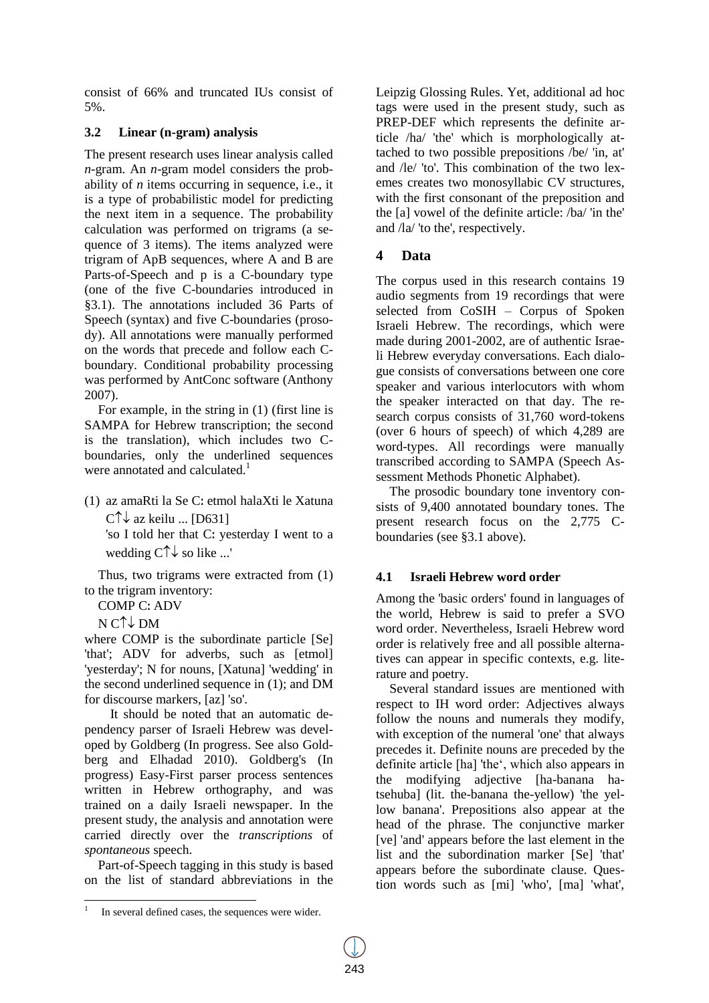consist of 66% and truncated IUs consist of 5%.

### **3.2 Linear (n-gram) analysis**

The present research uses linear analysis called *n*-gram. An *n*-gram model considers the probability of *n* items occurring in sequence, i.e., it is a type of probabilistic model for predicting the next item in a sequence. The probability calculation was performed on trigrams (a sequence of 3 items). The items analyzed were trigram of ApB sequences, where A and B are Parts-of-Speech and p is a C-boundary type (one of the five C-boundaries introduced in §3.1). The annotations included 36 Parts of Speech (syntax) and five C-boundaries (prosody). All annotations were manually performed on the words that precede and follow each Cboundary. Conditional probability processing was performed by AntConc software (Anthony 2007).

For example, in the string in (1) (first line is SAMPA for Hebrew transcription; the second is the translation), which includes two Cboundaries, only the underlined sequences were annotated and calculated.<sup>1</sup>

(1) az amaRti la Se C etmol halaXti le Xatuna  $C \uparrow \downarrow$  az keilu ... [D631]

'so I told her that C: yesterday I went to a wedding  $C \uparrow \downarrow$  so like ...'

Thus, two trigrams were extracted from (1) to the trigram inventory:

**COMP C: ADV** 

 $N C \rightarrow N$ 

 $\overline{a}$ 

where COMP is the subordinate particle [Se] 'that'; ADV for adverbs, such as [etmol] 'yesterday'; N for nouns, [Xatuna] 'wedding' in the second underlined sequence in (1); and DM for discourse markers, [az] 'so'.

It should be noted that an automatic dependency parser of Israeli Hebrew was developed by Goldberg (In progress. See also Goldberg and Elhadad 2010). Goldberg's (In progress) Easy-First parser process sentences written in Hebrew orthography, and was trained on a daily Israeli newspaper. In the present study, the analysis and annotation were carried directly over the *transcriptions* of *spontaneous* speech.

Part-of-Speech tagging in this study is based on the list of standard abbreviations in the Leipzig Glossing Rules. Yet, additional ad hoc tags were used in the present study, such as PREP-DEF which represents the definite article /ha/ 'the' which is morphologically attached to two possible prepositions /be/ 'in, at' and /le/ 'to'. This combination of the two lexemes creates two monosyllabic CV structures, with the first consonant of the preposition and the [a] vowel of the definite article: /ba/ 'in the' and /la/ 'to the', respectively.

### **4 Data**

The corpus used in this research contains 19 audio segments from 19 recordings that were selected from CoSIH – Corpus of Spoken Israeli Hebrew. The recordings, which were made during 2001-2002, are of authentic Israeli Hebrew everyday conversations. Each dialogue consists of conversations between one core speaker and various interlocutors with whom the speaker interacted on that day. The research corpus consists of 31,760 word-tokens (over 6 hours of speech) of which 4,289 are word-types. All recordings were manually transcribed according to SAMPA (Speech Assessment Methods Phonetic Alphabet).

The prosodic boundary tone inventory consists of 9,400 annotated boundary tones. The present research focus on the 2,775 Cboundaries (see §3.1 above).

### **4.1 Israeli Hebrew word order**

Among the 'basic orders' found in languages of the world, Hebrew is said to prefer a SVO word order. Nevertheless, Israeli Hebrew word order is relatively free and all possible alternatives can appear in specific contexts, e.g. literature and poetry.

Several standard issues are mentioned with respect to IH word order: Adjectives always follow the nouns and numerals they modify, with exception of the numeral 'one' that always precedes it. Definite nouns are preceded by the definite article [ha] 'the", which also appears in the modifying adjective [ha-banana hatsehuba] (lit. the-banana the-yellow) 'the yellow banana'. Prepositions also appear at the head of the phrase. The conjunctive marker [ve] 'and' appears before the last element in the list and the subordination marker [Se] 'that' appears before the subordinate clause. Question words such as [mi] 'who', [ma] 'what',

<sup>1</sup> In several defined cases, the sequences were wider.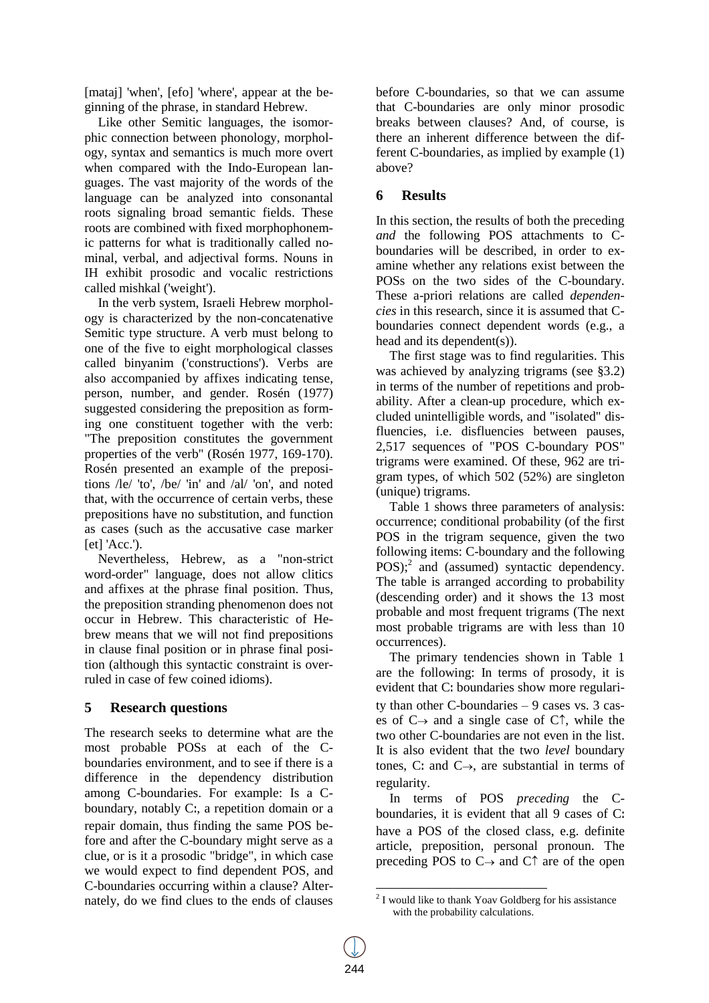[mataj] 'when', [efo] 'where', appear at the beginning of the phrase, in standard Hebrew.

Like other Semitic languages, the isomorphic connection between phonology, morphology, syntax and semantics is much more overt when compared with the Indo-European languages. The vast majority of the words of the language can be analyzed into consonantal roots signaling broad semantic fields. These roots are combined with fixed morphophonemic patterns for what is traditionally called nominal, verbal, and adjectival forms. Nouns in IH exhibit prosodic and vocalic restrictions called mishkal ('weight').

In the verb system, Israeli Hebrew morphology is characterized by the non-concatenative Semitic type structure. A verb must belong to one of the five to eight morphological classes called binyanim ('constructions'). Verbs are also accompanied by affixes indicating tense, person, number, and gender. Rosén (1977) suggested considering the preposition as forming one constituent together with the verb: "The preposition constitutes the government properties of the verb" (Rosén 1977, 169-170). Rosén presented an example of the prepositions /le/ 'to', /be/ 'in' and /al/ 'on', and noted that, with the occurrence of certain verbs, these prepositions have no substitution, and function as cases (such as the accusative case marker  $[et]$  'Acc.').

Nevertheless, Hebrew, as a "non-strict word-order" language, does not allow clitics and affixes at the phrase final position. Thus, the preposition stranding phenomenon does not occur in Hebrew. This characteristic of Hebrew means that we will not find prepositions in clause final position or in phrase final position (although this syntactic constraint is overruled in case of few coined idioms).

#### **5 Research questions**

The research seeks to determine what are the most probable POSs at each of the Cboundaries environment, and to see if there is a difference in the dependency distribution among C-boundaries. For example: Is a Cboundary, notably C<sub>i</sub>, a repetition domain or a repair domain, thus finding the same POS before and after the C-boundary might serve as a clue, or is it a prosodic "bridge", in which case we would expect to find dependent POS, and C-boundaries occurring within a clause? Alternately, do we find clues to the ends of clauses before C-boundaries, so that we can assume that C-boundaries are only minor prosodic breaks between clauses? And, of course, is there an inherent difference between the different C-boundaries, as implied by example (1) above?

### **6 Results**

In this section, the results of both the preceding *and* the following POS attachments to Cboundaries will be described, in order to examine whether any relations exist between the POSs on the two sides of the C-boundary. These a-priori relations are called *dependencies* in this research, since it is assumed that Cboundaries connect dependent words (e.g., a head and its dependent(s)).

The first stage was to find regularities. This was achieved by analyzing trigrams (see §3.2) in terms of the number of repetitions and probability. After a clean-up procedure, which excluded unintelligible words, and "isolated" disfluencies, i.e. disfluencies between pauses, 2,517 sequences of "POS C-boundary POS" trigrams were examined. Of these, 962 are trigram types, of which 502 (52%) are singleton (unique) trigrams.

Table 1 shows three parameters of analysis: occurrence; conditional probability (of the first POS in the trigram sequence, given the two following items: C-boundary and the following POS);<sup>2</sup> and (assumed) syntactic dependency. The table is arranged according to probability (descending order) and it shows the 13 most probable and most frequent trigrams (The next most probable trigrams are with less than 10 occurrences).

The primary tendencies shown in Table 1 are the following: In terms of prosody, it is evident that C: boundaries show more regularity than other C-boundaries – 9 cases vs. 3 cases of  $C \rightarrow$  and a single case of  $C \uparrow$ , while the two other C-boundaries are not even in the list. It is also evident that the two *level* boundary tones, C: and  $C \rightarrow$ , are substantial in terms of regularity.

In terms of POS *preceding* the Cboundaries, it is evident that all 9 cases of C have a POS of the closed class, e.g. definite article, preposition, personal pronoun. The preceding POS to  $C \rightarrow$  and  $C \uparrow$  are of the open

<sup>&</sup>lt;sup>2</sup> I would like to thank Yoav Goldberg for his assistance with the probability calculations.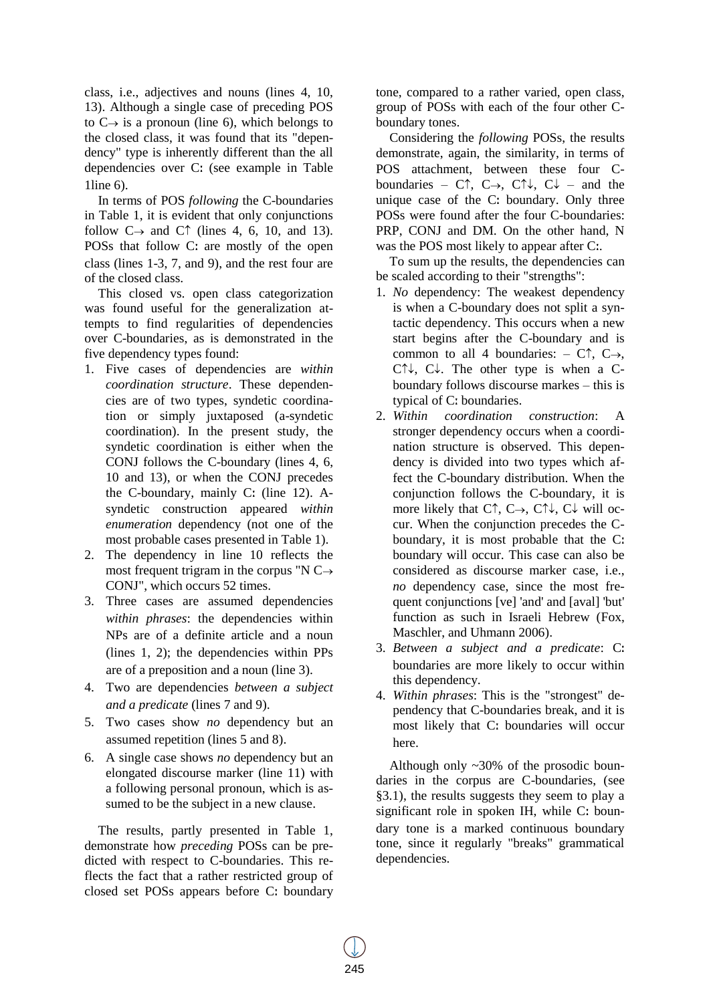class, i.e., adjectives and nouns (lines 4, 10, 13). Although a single case of preceding POS to  $C \rightarrow$  is a pronoun (line 6), which belongs to the closed class, it was found that its "dependency" type is inherently different than the all dependencies over C: (see example in Table 1line 6).

In terms of POS *following* the C-boundaries in Table 1, it is evident that only conjunctions follow  $C \rightarrow$  and  $C \uparrow$  (lines 4, 6, 10, and 13). POSs that follow C: are mostly of the open class (lines 1-3, 7, and 9), and the rest four are of the closed class.

This closed vs. open class categorization was found useful for the generalization attempts to find regularities of dependencies over C-boundaries, as is demonstrated in the five dependency types found:

- 1. Five cases of dependencies are *within coordination structure*. These dependencies are of two types, syndetic coordination or simply juxtaposed (a-syndetic coordination). In the present study, the syndetic coordination is either when the CONJ follows the C-boundary (lines 4, 6, 10 and 13), or when the CONJ precedes the C-boundary, mainly C: (line  $12$ ). Asyndetic construction appeared *within enumeration* dependency (not one of the most probable cases presented in Table 1).
- 2. The dependency in line 10 reflects the most frequent trigram in the corpus "N  $C \rightarrow$ CONJ", which occurs 52 times.
- 3. Three cases are assumed dependencies *within phrases*: the dependencies within NPs are of a definite article and a noun (lines 1, 2); the dependencies within PPs are of a preposition and a noun (line 3).
- 4. Two are dependencies *between a subject and a predicate* (lines 7 and 9).
- 5. Two cases show *no* dependency but an assumed repetition (lines 5 and 8).
- 6. A single case shows *no* dependency but an elongated discourse marker (line 11) with a following personal pronoun, which is assumed to be the subject in a new clause.

The results, partly presented in Table 1, demonstrate how *preceding* POSs can be predicted with respect to C-boundaries. This reflects the fact that a rather restricted group of closed set POSs appears before C: boundary tone, compared to a rather varied, open class, group of POSs with each of the four other Cboundary tones.

Considering the *following* POSs, the results demonstrate, again, the similarity, in terms of POS attachment, between these four Cboundaries –  $C \uparrow$ ,  $C \rightarrow$ ,  $C \uparrow \downarrow$ ,  $C \downarrow$  – and the unique case of the C: boundary. Only three POSs were found after the four C-boundaries: PRP, CONJ and DM. On the other hand, N was the POS most likely to appear after C:.

To sum up the results, the dependencies can be scaled according to their "strengths":

- 1. *No* dependency: The weakest dependency is when a C-boundary does not split a syntactic dependency. This occurs when a new start begins after the C-boundary and is common to all 4 boundaries:  $- C \hat{\uparrow}$ ,  $C \rightarrow$ ,  $C\rightarrow \mathbb{C}$ . The other type is when a Cboundary follows discourse markes – this is typical of C: boundaries.
- 2. *Within coordination construction*: A stronger dependency occurs when a coordination structure is observed. This dependency is divided into two types which affect the C-boundary distribution. When the conjunction follows the C-boundary, it is more likely that  $C \uparrow$ ,  $C \rightarrow$ ,  $C \uparrow \downarrow$ ,  $C \downarrow$  will occur. When the conjunction precedes the Cboundary, it is most probable that the C boundary will occur. This case can also be considered as discourse marker case, i.e., *no* dependency case, since the most frequent conjunctions [ve] 'and' and [aval] 'but' function as such in Israeli Hebrew (Fox, Maschler, and Uhmann 2006).
- 3. *Between a subject and a predicate*: C boundaries are more likely to occur within this dependency.
- 4. *Within phrases*: This is the "strongest" dependency that C-boundaries break, and it is most likely that C; boundaries will occur here.

Although only ~30% of the prosodic boundaries in the corpus are C-boundaries, (see §3.1), the results suggests they seem to play a significant role in spoken IH, while C: boundary tone is a marked continuous boundary tone, since it regularly "breaks" grammatical dependencies.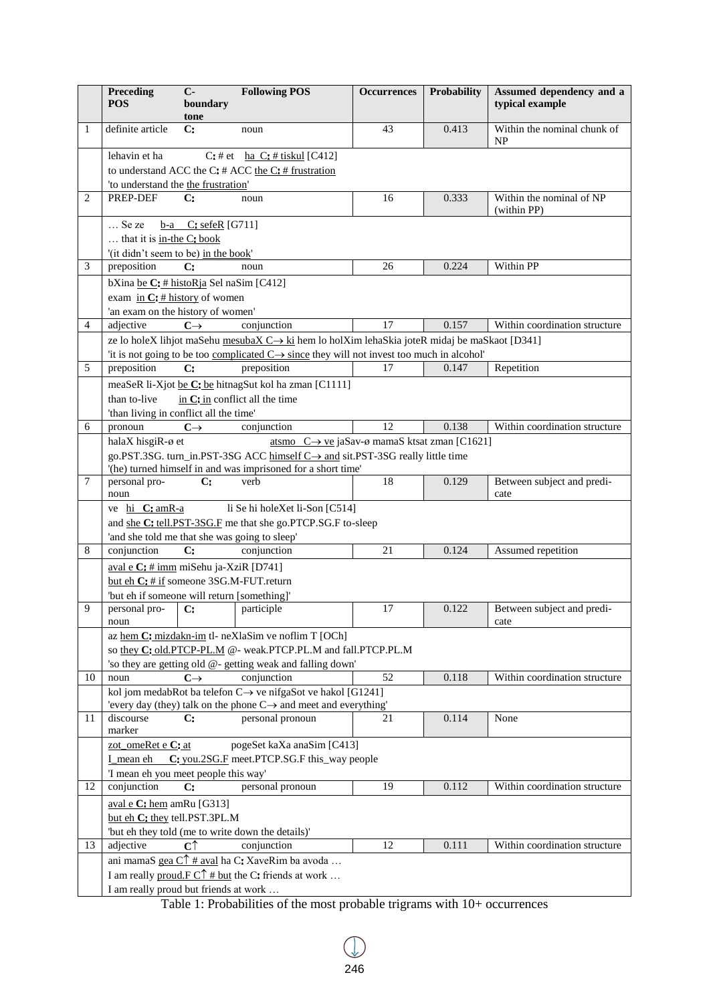|    | Preceding                                                                                                                                                                                              | $C -$                                                                                                                       | <b>Following POS</b>                                                         | <b>Occurrences</b> | Probability | Assumed dependency and a                |  |
|----|--------------------------------------------------------------------------------------------------------------------------------------------------------------------------------------------------------|-----------------------------------------------------------------------------------------------------------------------------|------------------------------------------------------------------------------|--------------------|-------------|-----------------------------------------|--|
|    | <b>POS</b>                                                                                                                                                                                             | boundary                                                                                                                    |                                                                              |                    |             | typical example                         |  |
| 1  | definite article                                                                                                                                                                                       | tone<br>C:                                                                                                                  | noun                                                                         | 43                 | 0.413       | Within the nominal chunk of<br>NP       |  |
|    | lehavin et ha<br>$C_1$ # et ha $C_2$ # tiskul [C412]                                                                                                                                                   |                                                                                                                             |                                                                              |                    |             |                                         |  |
|    | to understand ACC the $C_1$ # ACC the $C_2$ # frustration                                                                                                                                              |                                                                                                                             |                                                                              |                    |             |                                         |  |
|    | 'to understand the the frustration'                                                                                                                                                                    |                                                                                                                             |                                                                              |                    |             |                                         |  |
| 2  | PREP-DEF                                                                                                                                                                                               | $\mathbf{C}$                                                                                                                | noun                                                                         | 16                 | 0.333       | Within the nominal of NP<br>(within PP) |  |
|    | $b-a$ C: sefeR [G711]<br>$\ldots$ Se ze                                                                                                                                                                |                                                                                                                             |                                                                              |                    |             |                                         |  |
|    | that it is in-the C: book                                                                                                                                                                              |                                                                                                                             |                                                                              |                    |             |                                         |  |
|    | '(it didn't seem to be) in the book'                                                                                                                                                                   | C <sub>i</sub>                                                                                                              |                                                                              |                    |             |                                         |  |
| 3  | preposition                                                                                                                                                                                            |                                                                                                                             | noun                                                                         | 26                 | 0.224       | Within PP                               |  |
|    | bXina be C: # histoRja Sel naSim [C412]                                                                                                                                                                |                                                                                                                             |                                                                              |                    |             |                                         |  |
|    | exam $\frac{\text{in } \mathbb{C} \cdot \# \text{history of women}}{P}$<br>'an exam on the history of women'                                                                                           |                                                                                                                             |                                                                              |                    |             |                                         |  |
| 4  | adjective                                                                                                                                                                                              | $C \rightarrow$                                                                                                             | conjunction                                                                  | 17                 | 0.157       | Within coordination structure           |  |
|    |                                                                                                                                                                                                        |                                                                                                                             |                                                                              |                    |             |                                         |  |
|    | ze lo holeX lihjot maSehu mesubaX C→ ki hem lo holXim lehaSkia joteR midaj be maSkaot [D341]<br>'it is not going to be too complicated $C \rightarrow$ since they will not invest too much in alcohol' |                                                                                                                             |                                                                              |                    |             |                                         |  |
| 5  | preposition                                                                                                                                                                                            | C <sub>i</sub>                                                                                                              | preposition                                                                  | 17                 | 0.147       | Repetition                              |  |
|    |                                                                                                                                                                                                        |                                                                                                                             | meaSeR li-Xjot be C: be hitnagSut kol ha zman [C1111]                        |                    |             |                                         |  |
|    | in C: in conflict all the time<br>than to-live                                                                                                                                                         |                                                                                                                             |                                                                              |                    |             |                                         |  |
|    | 'than living in conflict all the time'                                                                                                                                                                 |                                                                                                                             |                                                                              |                    |             |                                         |  |
| 6  | pronoun                                                                                                                                                                                                | $C \rightarrow$                                                                                                             | conjunction                                                                  | 12                 | 0.138       | Within coordination structure           |  |
|    | halaX hisgiR-ø et                                                                                                                                                                                      |                                                                                                                             | atsmo $C \rightarrow ve$ jaSav-ø mamaS ktsat zman [C1621]                    |                    |             |                                         |  |
|    | go.PST.3SG. turn_in.PST-3SG ACC himself C→ and sit.PST-3SG really little time                                                                                                                          |                                                                                                                             |                                                                              |                    |             |                                         |  |
|    |                                                                                                                                                                                                        |                                                                                                                             | '(he) turned himself in and was imprisoned for a short time'                 |                    |             |                                         |  |
| 7  | personal pro-<br>noun                                                                                                                                                                                  | C:                                                                                                                          | verb                                                                         | 18                 | 0.129       | Between subject and predi-              |  |
|    | ve hi C: amR-a                                                                                                                                                                                         |                                                                                                                             | li Se hi holeXet li-Son [C514]                                               |                    |             | cate                                    |  |
|    | and she C: tell.PST-3SG.F me that she go.PTCP.SG.F to-sleep                                                                                                                                            |                                                                                                                             |                                                                              |                    |             |                                         |  |
|    | 'and she told me that she was going to sleep'                                                                                                                                                          |                                                                                                                             |                                                                              |                    |             |                                         |  |
| 8  | conjunction                                                                                                                                                                                            | C:                                                                                                                          | conjunction                                                                  | 21                 | 0.124       | Assumed repetition                      |  |
|    | aval e $C:$ # imm miSehu ja-XziR [D741]                                                                                                                                                                |                                                                                                                             |                                                                              |                    |             |                                         |  |
|    | but eh C: # if someone 3SG.M-FUT.return                                                                                                                                                                |                                                                                                                             |                                                                              |                    |             |                                         |  |
|    | 'but eh if someone will return [something]'                                                                                                                                                            |                                                                                                                             |                                                                              |                    |             |                                         |  |
| 9  | personal pro-                                                                                                                                                                                          | C:                                                                                                                          | participle                                                                   | 17                 | 0.122       | Between subject and predi-              |  |
|    | noun                                                                                                                                                                                                   |                                                                                                                             |                                                                              |                    |             | cate                                    |  |
|    | az hem C: mizdakn-im tl- neXlaSim ve noflim T [OCh]                                                                                                                                                    |                                                                                                                             |                                                                              |                    |             |                                         |  |
|    | so they C: old.PTCP-PL.M @- weak.PTCP.PL.M and fall.PTCP.PL.M<br>'so they are getting old @- getting weak and falling down'                                                                            |                                                                                                                             |                                                                              |                    |             |                                         |  |
| 10 | noun                                                                                                                                                                                                   | $C \rightarrow$                                                                                                             | conjunction                                                                  | 52                 | 0.118       | Within coordination structure           |  |
|    |                                                                                                                                                                                                        |                                                                                                                             | kol jom medabRot ba telefon $C \rightarrow$ ve nifgaSot ve hakol [G1241]     |                    |             |                                         |  |
|    |                                                                                                                                                                                                        |                                                                                                                             | 'every day (they) talk on the phone $C \rightarrow$ and meet and everything' |                    |             |                                         |  |
| 11 | discourse                                                                                                                                                                                              | C:                                                                                                                          | personal pronoun                                                             | 21                 | 0.114       | None                                    |  |
|    | marker                                                                                                                                                                                                 |                                                                                                                             |                                                                              |                    |             |                                         |  |
|    | zot_omeRet e C: at                                                                                                                                                                                     |                                                                                                                             | pogeSet kaXa anaSim [C413]                                                   |                    |             |                                         |  |
|    | C: you.2SG.F meet.PTCP.SG.F this_way people<br>I_mean eh<br>'I mean eh you meet people this way'                                                                                                       |                                                                                                                             |                                                                              |                    |             |                                         |  |
| 12 | conjunction                                                                                                                                                                                            | C:                                                                                                                          | personal pronoun                                                             | 19                 | 0.112       | Within coordination structure           |  |
|    |                                                                                                                                                                                                        |                                                                                                                             |                                                                              |                    |             |                                         |  |
|    | aval e C: hem amRu [G313]<br>but eh C: they tell.PST.3PL.M                                                                                                                                             |                                                                                                                             |                                                                              |                    |             |                                         |  |
|    |                                                                                                                                                                                                        |                                                                                                                             | 'but eh they told (me to write down the details)'                            |                    |             |                                         |  |
| 13 | adjective                                                                                                                                                                                              | $\mathbf{C}^{\uparrow}$                                                                                                     | conjunction                                                                  | 12                 | 0.111       | Within coordination structure           |  |
|    |                                                                                                                                                                                                        |                                                                                                                             |                                                                              |                    |             |                                         |  |
|    |                                                                                                                                                                                                        | ani mamaS gea $C \uparrow \#$ aval ha C: XaveRim ba avoda<br>I am really proud.F $C \uparrow \#$ but the C: friends at work |                                                                              |                    |             |                                         |  |
|    | I am really proud but friends at work                                                                                                                                                                  |                                                                                                                             |                                                                              |                    |             |                                         |  |

Table 1: Probabilities of the most probable trigrams with 10+ occurrences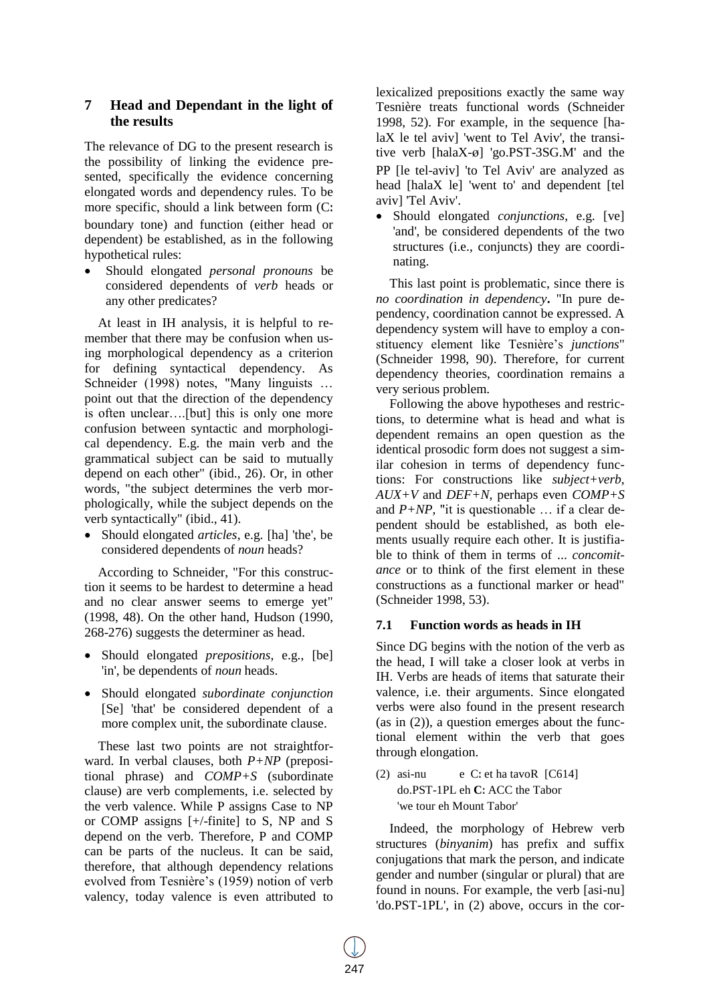### **7 Head and Dependant in the light of the results**

The relevance of DG to the present research is the possibility of linking the evidence presented, specifically the evidence concerning elongated words and dependency rules. To be more specific, should a link between form (C boundary tone) and function (either head or dependent) be established, as in the following hypothetical rules:

 Should elongated *personal pronouns* be considered dependents of *verb* heads or any other predicates?

At least in IH analysis, it is helpful to remember that there may be confusion when using morphological dependency as a criterion for defining syntactical dependency. As Schneider (1998) notes, "Many linguists ... point out that the direction of the dependency is often unclear….[but] this is only one more confusion between syntactic and morphological dependency. E.g. the main verb and the grammatical subject can be said to mutually depend on each other" (ibid., 26). Or, in other words, "the subject determines the verb morphologically, while the subject depends on the verb syntactically" (ibid., 41).

 Should elongated *articles*, e.g. [ha] 'the', be considered dependents of *noun* heads?

According to Schneider, "For this construction it seems to be hardest to determine a head and no clear answer seems to emerge yet" (1998, 48). On the other hand, Hudson (1990, 268-276) suggests the determiner as head.

- Should elongated *prepositions*, e.g., [be] 'in', be dependents of *noun* heads.
- Should elongated *subordinate conjunction* [Se] 'that' be considered dependent of a more complex unit, the subordinate clause.

These last two points are not straightforward. In verbal clauses, both *P+NP* (prepositional phrase) and *COMP+S* (subordinate clause) are verb complements, i.e. selected by the verb valence. While P assigns Case to NP or COMP assigns [+/-finite] to S, NP and S depend on the verb. Therefore, P and COMP can be parts of the nucleus. It can be said, therefore, that although dependency relations evolved from Tesnière"s (1959) notion of verb valency, today valence is even attributed to lexicalized prepositions exactly the same way Tesnière treats functional words (Schneider 1998, 52). For example, in the sequence [halaX le tel aviv] 'went to Tel Aviv', the transitive verb  $[halaX-0]$  'go.PST-3SG.M' and the PP [le tel-aviv] 'to Tel Aviv' are analyzed as head [halaX le] 'went to' and dependent [tel aviv] 'Tel Aviv'.

 Should elongated *conjunctions*, e.g. [ve] 'and', be considered dependents of the two structures (i.e., conjuncts) they are coordinating.

This last point is problematic, since there is *no coordination in dependency***.** "In pure dependency, coordination cannot be expressed. A dependency system will have to employ a constituency element like Tesnière"s *junctions*" (Schneider 1998, 90). Therefore, for current dependency theories, coordination remains a very serious problem.

Following the above hypotheses and restrictions, to determine what is head and what is dependent remains an open question as the identical prosodic form does not suggest a similar cohesion in terms of dependency functions: For constructions like *subject+verb*, *AUX+V* and *DEF+N*, perhaps even *COMP+S* and  $P+NP$ , "it is questionable ... if a clear dependent should be established, as both elements usually require each other. It is justifiable to think of them in terms of ... *concomitance* or to think of the first element in these constructions as a functional marker or head" (Schneider 1998, 53).

#### **7.1 Function words as heads in IH**

Since DG begins with the notion of the verb as the head, I will take a closer look at verbs in IH. Verbs are heads of items that saturate their valence, i.e. their arguments. Since elongated verbs were also found in the present research (as in (2)), a question emerges about the functional element within the verb that goes through elongation.

(2) asi-nu e C et ha tavoR  $[C614]$ do.PST-1PL eh C: ACC the Tabor 'we tour eh Mount Tabor'

Indeed, the morphology of Hebrew verb structures (*binyanim*) has prefix and suffix conjugations that mark the person, and indicate gender and number (singular or plural) that are found in nouns. For example, the verb [asi-nu] 'do.PST-1PL', in (2) above, occurs in the cor-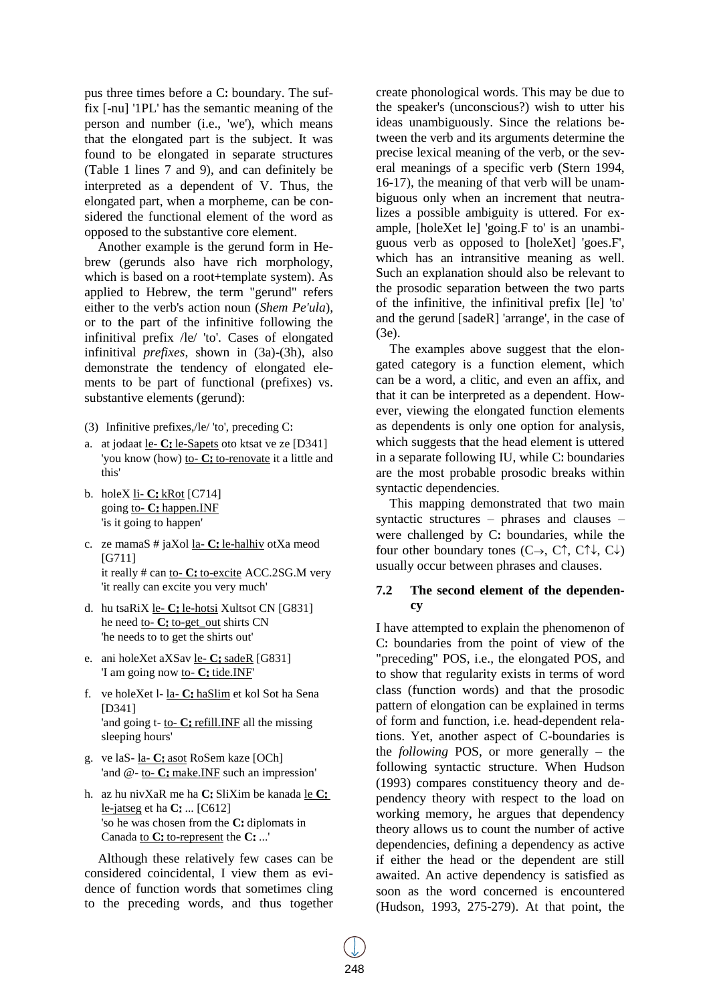pus three times before a C: boundary. The suffix [-nu] '1PL' has the semantic meaning of the person and number (i.e., 'we'), which means that the elongated part is the subject. It was found to be elongated in separate structures (Table 1 lines 7 and 9), and can definitely be interpreted as a dependent of V. Thus, the elongated part, when a morpheme, can be considered the functional element of the word as opposed to the substantive core element.

Another example is the gerund form in Hebrew (gerunds also have rich morphology, which is based on a root+template system). As applied to Hebrew, the term "gerund" refers either to the verb's action noun (*Shem Pe'ula*), or to the part of the infinitive following the infinitival prefix /le/ 'to'. Cases of elongated infinitival *prefixes*, shown in (3a)-(3h), also demonstrate the tendency of elongated elements to be part of functional (prefixes) vs. substantive elements (gerund):

- (3) Infinitive prefixes,/le/ 'to', preceding C
- a. at jodaat le- **C** le-Sapets oto ktsat ve ze [D341] 'you know (how) to- **C** to-renovate it a little and this'
- b. holeX li- **C** kRot [C714] going to- **C** happen.INF 'is it going to happen'
- c. ze mamaS # jaXol la- **C** le-halhiv otXa meod [G711] it really # can to- **C** to-excite ACC.2SG.M very 'it really can excite you very much'
- d. hu tsaRiX le- **C** le-hotsi Xultsot CN [G831] he need to- **C**: to-get out shirts CN 'he needs to to get the shirts out'
- e. ani holeXet aXSav le- C: sadeR [G831] 'I am going now to- C<sub>I</sub> tide.INF'
- f. ve holeXet l- la- **C** haSlim et kol Sot ha Sena [D341] 'and going t- to- C: refill.INF all the missing sleeping hours'
- g. ve laS- la- **C** asot RoSem kaze [OCh] 'and @- to- **C** make.INF such an impression'
- h. az hu nivXaR me ha **C**: SliXim be kanada le **C**: le-jatseg et ha **C** ... [C612] 'so he was chosen from the **C** diplomats in Canada to **C** to-represent the **C** ...'

Although these relatively few cases can be considered coincidental, I view them as evidence of function words that sometimes cling to the preceding words, and thus together

create phonological words. This may be due to the speaker's (unconscious?) wish to utter his ideas unambiguously. Since the relations between the verb and its arguments determine the precise lexical meaning of the verb, or the several meanings of a specific verb (Stern 1994, 16-17), the meaning of that verb will be unambiguous only when an increment that neutralizes a possible ambiguity is uttered. For example, [holeXet le] 'going.F to' is an unambiguous verb as opposed to [holeXet] 'goes.F', which has an intransitive meaning as well. Such an explanation should also be relevant to the prosodic separation between the two parts of the infinitive, the infinitival prefix [le] 'to' and the gerund [sadeR] 'arrange', in the case of (3e).

The examples above suggest that the elongated category is a function element, which can be a word, a clitic, and even an affix, and that it can be interpreted as a dependent. However, viewing the elongated function elements as dependents is only one option for analysis, which suggests that the head element is uttered in a separate following IU, while C: boundaries are the most probable prosodic breaks within syntactic dependencies.

This mapping demonstrated that two main syntactic structures – phrases and clauses – were challenged by C: boundaries, while the four other boundary tones  $(C \rightarrow, C \uparrow, C \uparrow, C \downarrow)$ usually occur between phrases and clauses.

#### **7.2 The second element of the dependency**

I have attempted to explain the phenomenon of C: boundaries from the point of view of the "preceding" POS, i.e., the elongated POS, and to show that regularity exists in terms of word class (function words) and that the prosodic pattern of elongation can be explained in terms of form and function, i.e. head-dependent relations. Yet, another aspect of C-boundaries is the *following* POS, or more generally – the following syntactic structure. When Hudson (1993) compares constituency theory and dependency theory with respect to the load on working memory, he argues that dependency theory allows us to count the number of active dependencies, defining a dependency as active if either the head or the dependent are still awaited. An active dependency is satisfied as soon as the word concerned is encountered (Hudson, 1993, 275-279). At that point, the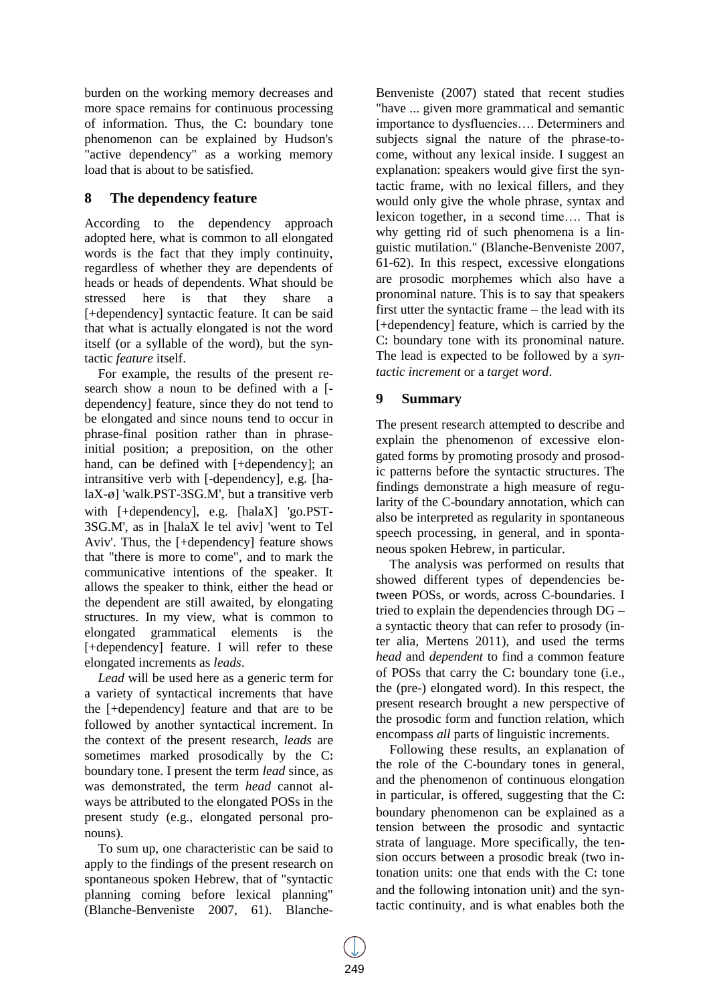burden on the working memory decreases and more space remains for continuous processing of information. Thus, the C: boundary tone phenomenon can be explained by Hudson's "active dependency" as a working memory load that is about to be satisfied.

# **8 The dependency feature**

According to the dependency approach adopted here, what is common to all elongated words is the fact that they imply continuity, regardless of whether they are dependents of heads or heads of dependents. What should be stressed here is that they share a [+dependency] syntactic feature. It can be said that what is actually elongated is not the word itself (or a syllable of the word), but the syntactic *feature* itself.

For example, the results of the present research show a noun to be defined with a [ dependency] feature, since they do not tend to be elongated and since nouns tend to occur in phrase-final position rather than in phraseinitial position; a preposition, on the other hand, can be defined with [+dependency]; an intransitive verb with [-dependency], e.g. [ha $l$ aX- $\emptyset$  'walk.PST-3SG.M', but a transitive verb with [+dependency], e.g. [halaX] 'go.PST-3SG.M', as in [halaX le tel aviv] 'went to Tel Aviv'. Thus, the [+dependency] feature shows that "there is more to come", and to mark the communicative intentions of the speaker. It allows the speaker to think, either the head or the dependent are still awaited, by elongating structures. In my view, what is common to elongated grammatical elements is the [+dependency] feature. I will refer to these elongated increments as *leads*.

*Lead* will be used here as a generic term for a variety of syntactical increments that have the [+dependency] feature and that are to be followed by another syntactical increment. In the context of the present research, *leads* are sometimes marked prosodically by the C: boundary tone. I present the term *lead* since, as was demonstrated, the term *head* cannot always be attributed to the elongated POSs in the present study (e.g., elongated personal pronouns).

To sum up, one characteristic can be said to apply to the findings of the present research on spontaneous spoken Hebrew, that of "syntactic planning coming before lexical planning" (Blanche-Benveniste 2007, 61). BlancheBenveniste (2007) stated that recent studies "have ... given more grammatical and semantic importance to dysfluencies…. Determiners and subjects signal the nature of the phrase-tocome, without any lexical inside. I suggest an explanation: speakers would give first the syntactic frame, with no lexical fillers, and they would only give the whole phrase, syntax and lexicon together, in a second time…. That is why getting rid of such phenomena is a linguistic mutilation." (Blanche-Benveniste 2007, 61-62). In this respect, excessive elongations are prosodic morphemes which also have a pronominal nature. This is to say that speakers first utter the syntactic frame – the lead with its [+dependency] feature, which is carried by the C: boundary tone with its pronominal nature. The lead is expected to be followed by a *syntactic increment* or a *target word*.

# **9 Summary**

The present research attempted to describe and explain the phenomenon of excessive elongated forms by promoting prosody and prosodic patterns before the syntactic structures. The findings demonstrate a high measure of regularity of the C-boundary annotation, which can also be interpreted as regularity in spontaneous speech processing, in general, and in spontaneous spoken Hebrew, in particular.

The analysis was performed on results that showed different types of dependencies between POSs, or words, across C-boundaries. I tried to explain the dependencies through DG – a syntactic theory that can refer to prosody (inter alia, Mertens 2011), and used the terms *head* and *dependent* to find a common feature of POSs that carry the C: boundary tone (i.e., the (pre-) elongated word). In this respect, the present research brought a new perspective of the prosodic form and function relation, which encompass *all* parts of linguistic increments.

Following these results, an explanation of the role of the C-boundary tones in general, and the phenomenon of continuous elongation in particular, is offered, suggesting that the C boundary phenomenon can be explained as a tension between the prosodic and syntactic strata of language. More specifically, the tension occurs between a prosodic break (two intonation units: one that ends with the C; tone and the following intonation unit) and the syntactic continuity, and is what enables both the